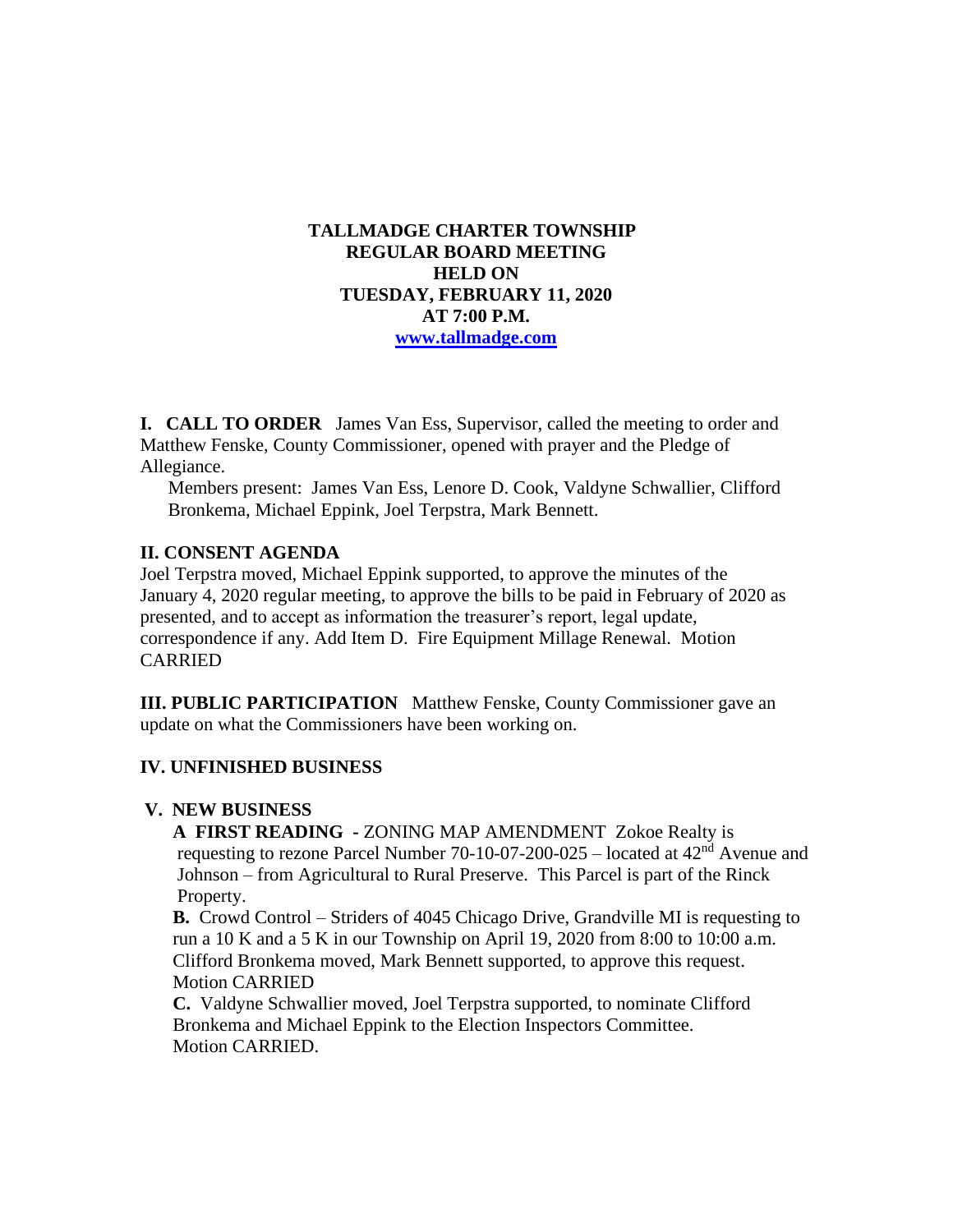## **TALLMADGE CHARTER TOWNSHIP REGULAR BOARD MEETING HELD ON TUESDAY, FEBRUARY 11, 2020 AT 7:00 P.M. [www.tallmadge.com](http://www.tallmadge.com/)**

**I. CALL TO ORDER** James Van Ess, Supervisor, called the meeting to order and Matthew Fenske, County Commissioner, opened with prayer and the Pledge of Allegiance.

Members present: James Van Ess, Lenore D. Cook, Valdyne Schwallier, Clifford Bronkema, Michael Eppink, Joel Terpstra, Mark Bennett.

## **II. CONSENT AGENDA**

Joel Terpstra moved, Michael Eppink supported, to approve the minutes of the January 4, 2020 regular meeting, to approve the bills to be paid in February of 2020 as presented, and to accept as information the treasurer's report, legal update, correspondence if any. Add Item D. Fire Equipment Millage Renewal. Motion CARRIED

**III. PUBLIC PARTICIPATION** Matthew Fenske, County Commissioner gave an update on what the Commissioners have been working on.

# **IV. UNFINISHED BUSINESS**

#### **V. NEW BUSINESS**

 **A FIRST READING -** ZONING MAP AMENDMENT Zokoe Realty is requesting to rezone Parcel Number 70-10-07-200-025 – located at 42nd Avenue and Johnson – from Agricultural to Rural Preserve. This Parcel is part of the Rinck Property.

 **B.** Crowd Control – Striders of 4045 Chicago Drive, Grandville MI is requesting to run a 10 K and a 5 K in our Township on April 19, 2020 from 8:00 to 10:00 a.m. Clifford Bronkema moved, Mark Bennett supported, to approve this request. Motion CARRIED

 **C.** Valdyne Schwallier moved, Joel Terpstra supported, to nominate Clifford Bronkema and Michael Eppink to the Election Inspectors Committee. Motion CARRIED.